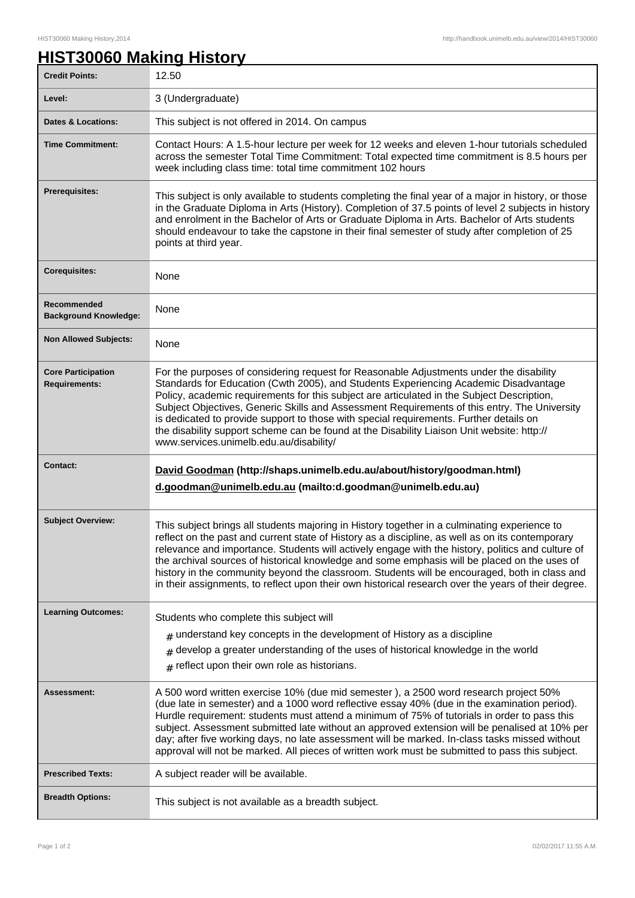## **HIST30060 Making History**

| <b>Credit Points:</b>                       | 12.50                                                                                                                                                                                                                                                                                                                                                                                                                                                                                                                                                                                                            |
|---------------------------------------------|------------------------------------------------------------------------------------------------------------------------------------------------------------------------------------------------------------------------------------------------------------------------------------------------------------------------------------------------------------------------------------------------------------------------------------------------------------------------------------------------------------------------------------------------------------------------------------------------------------------|
| Level:                                      | 3 (Undergraduate)                                                                                                                                                                                                                                                                                                                                                                                                                                                                                                                                                                                                |
| <b>Dates &amp; Locations:</b>               | This subject is not offered in 2014. On campus                                                                                                                                                                                                                                                                                                                                                                                                                                                                                                                                                                   |
| <b>Time Commitment:</b>                     | Contact Hours: A 1.5-hour lecture per week for 12 weeks and eleven 1-hour tutorials scheduled<br>across the semester Total Time Commitment: Total expected time commitment is 8.5 hours per<br>week including class time: total time commitment 102 hours                                                                                                                                                                                                                                                                                                                                                        |
| Prerequisites:                              | This subject is only available to students completing the final year of a major in history, or those<br>in the Graduate Diploma in Arts (History). Completion of 37.5 points of level 2 subjects in history<br>and enrolment in the Bachelor of Arts or Graduate Diploma in Arts. Bachelor of Arts students<br>should endeavour to take the capstone in their final semester of study after completion of 25<br>points at third year.                                                                                                                                                                            |
| <b>Corequisites:</b>                        | None                                                                                                                                                                                                                                                                                                                                                                                                                                                                                                                                                                                                             |
| Recommended<br><b>Background Knowledge:</b> | None                                                                                                                                                                                                                                                                                                                                                                                                                                                                                                                                                                                                             |
| <b>Non Allowed Subjects:</b>                | None                                                                                                                                                                                                                                                                                                                                                                                                                                                                                                                                                                                                             |
| <b>Core Participation</b><br>Requirements:  | For the purposes of considering request for Reasonable Adjustments under the disability<br>Standards for Education (Cwth 2005), and Students Experiencing Academic Disadvantage<br>Policy, academic requirements for this subject are articulated in the Subject Description,<br>Subject Objectives, Generic Skills and Assessment Requirements of this entry. The University<br>is dedicated to provide support to those with special requirements. Further details on<br>the disability support scheme can be found at the Disability Liaison Unit website: http://<br>www.services.unimelb.edu.au/disability/ |
| <b>Contact:</b>                             | David Goodman (http://shaps.unimelb.edu.au/about/history/goodman.html)<br>d.goodman@unimelb.edu.au (mailto:d.goodman@unimelb.edu.au)                                                                                                                                                                                                                                                                                                                                                                                                                                                                             |
| <b>Subject Overview:</b>                    | This subject brings all students majoring in History together in a culminating experience to<br>reflect on the past and current state of History as a discipline, as well as on its contemporary<br>relevance and importance. Students will actively engage with the history, politics and culture of<br>the archival sources of historical knowledge and some emphasis will be placed on the uses of<br>history in the community beyond the classroom. Students will be encouraged, both in class and<br>in their assignments, to reflect upon their own historical research over the years of their degree.    |
| <b>Learning Outcomes:</b>                   | Students who complete this subject will                                                                                                                                                                                                                                                                                                                                                                                                                                                                                                                                                                          |
|                                             | $#$ understand key concepts in the development of History as a discipline<br>develop a greater understanding of the uses of historical knowledge in the world<br>#<br>$#$ reflect upon their own role as historians.                                                                                                                                                                                                                                                                                                                                                                                             |
| Assessment:                                 | A 500 word written exercise 10% (due mid semester), a 2500 word research project 50%<br>(due late in semester) and a 1000 word reflective essay 40% (due in the examination period).<br>Hurdle requirement: students must attend a minimum of 75% of tutorials in order to pass this<br>subject. Assessment submitted late without an approved extension will be penalised at 10% per<br>day; after five working days, no late assessment will be marked. In-class tasks missed without<br>approval will not be marked. All pieces of written work must be submitted to pass this subject.                       |
| <b>Prescribed Texts:</b>                    | A subject reader will be available.                                                                                                                                                                                                                                                                                                                                                                                                                                                                                                                                                                              |
| <b>Breadth Options:</b>                     |                                                                                                                                                                                                                                                                                                                                                                                                                                                                                                                                                                                                                  |